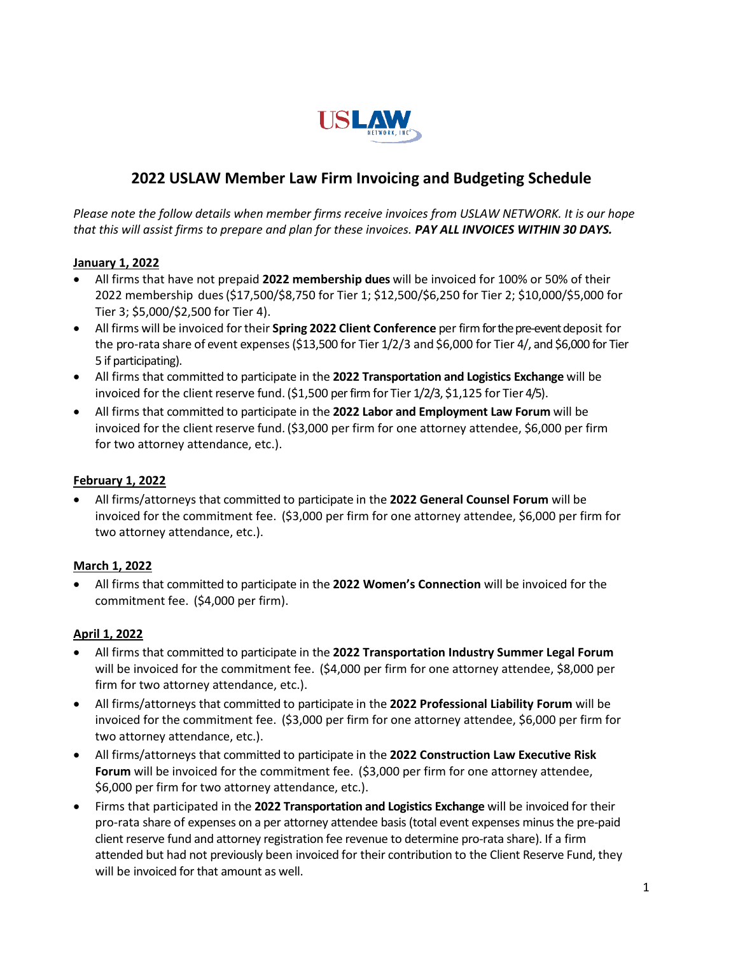

# **2022 USLAW Member Law Firm Invoicing and Budgeting Schedule**

*Please note the follow details when member firms receive invoices from USLAW NETWORK. It is our hope that this will assist firms to prepare and plan for these invoices. PAY ALL INVOICES WITHIN 30 DAYS.*

#### **January 1, 2022**

- All firms that have not prepaid **2022 membership dues** will be invoiced for 100% or 50% of their 2022 membership dues(\$17,500/\$8,750 for Tier 1; \$12,500/\$6,250 for Tier 2; \$10,000/\$5,000 for Tier 3; \$5,000/\$2,500 for Tier 4).
- All firms will be invoiced fortheir **Spring 2022 Client Conference** per firmfor the pre-eventdeposit for the pro-rata share of event expenses(\$13,500 for Tier 1/2/3 and \$6,000 for Tier 4/, and \$6,000 for Tier 5 if participating).
- All firms that committed to participate in the **2022 Transportation and Logistics Exchange** will be invoiced for the client reserve fund. (\$1,500 per firm for Tier 1/2/3, \$1,125 for Tier 4/5).
- All firms that committed to participate in the **2022 Labor and Employment Law Forum** will be invoiced for the client reserve fund. (\$3,000 per firm for one attorney attendee, \$6,000 per firm for two attorney attendance, etc.).

#### **February 1, 2022**

• All firms/attorneys that committed to participate in the **2022 General Counsel Forum** will be invoiced for the commitment fee. (\$3,000 per firm for one attorney attendee, \$6,000 per firm for two attorney attendance, etc.).

#### **March 1, 2022**

• All firms that committed to participate in the **2022 Women's Connection** will be invoiced for the commitment fee. (\$4,000 per firm).

#### **April 1, 2022**

- All firms that committed to participate in the **2022 Transportation Industry Summer Legal Forum** will be invoiced for the commitment fee. (\$4,000 per firm for one attorney attendee, \$8,000 per firm for two attorney attendance, etc.).
- All firms/attorneys that committed to participate in the **2022 Professional Liability Forum** will be invoiced for the commitment fee. (\$3,000 per firm for one attorney attendee, \$6,000 per firm for two attorney attendance, etc.).
- All firms/attorneys that committed to participate in the **2022 Construction Law Executive Risk Forum** will be invoiced for the commitment fee. (\$3,000 per firm for one attorney attendee, \$6,000 per firm for two attorney attendance, etc.).
- Firms that participated in the **2022 Transportation and Logistics Exchange** will be invoiced for their pro-rata share of expenses on a per attorney attendee basis (total event expenses minus the pre-paid client reserve fund and attorney registration fee revenue to determine pro-rata share). If a firm attended but had not previously been invoiced for their contribution to the Client Reserve Fund, they will be invoiced for that amount as well.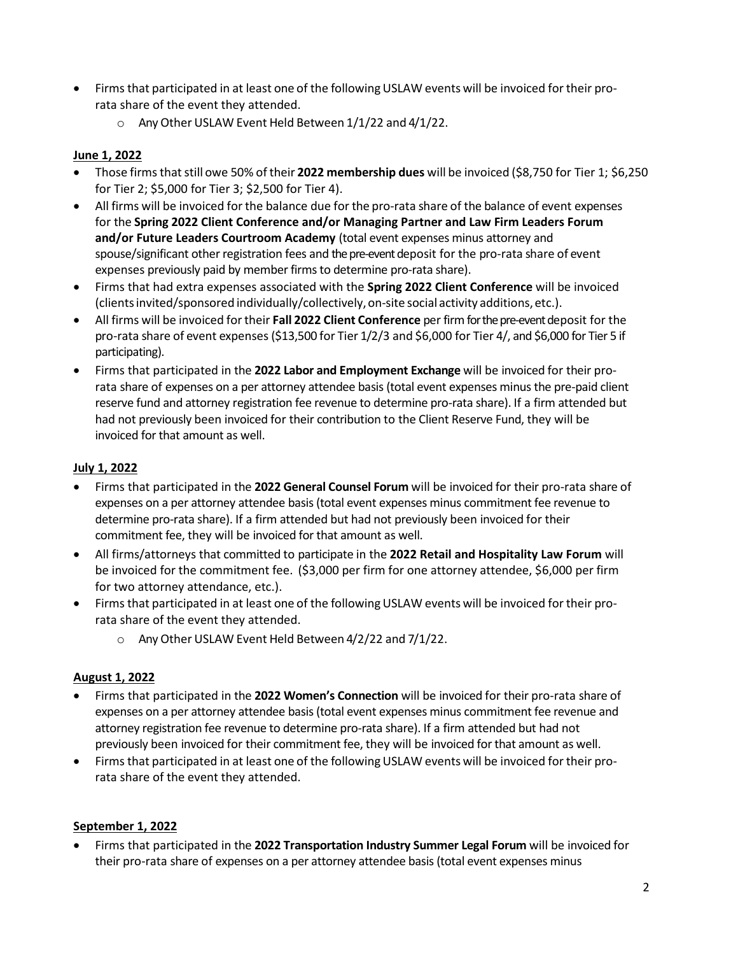- Firms that participated in at least one of the following USLAW events will be invoiced for their prorata share of the event they attended.
	- $\circ$  Any Other USLAW Event Held Between 1/1/22 and 4/1/22.

### **June 1, 2022**

- Those firmsthatstill owe 50% of their **2022 membership dues** will be invoiced (\$8,750 for Tier 1; \$6,250 for Tier 2; \$5,000 for Tier 3; \$2,500 for Tier 4).
- All firms will be invoiced for the balance due for the pro-rata share of the balance of event expenses for the **Spring 2022 Client Conference and/or Managing Partner and Law Firm Leaders Forum and/or Future Leaders Courtroom Academy** (total event expenses minus attorney and spouse/significant other registration fees and the pre-eventdeposit for the pro-rata share of event expenses previously paid by member firms to determine pro-rata share).
- Firms that had extra expenses associated with the **Spring 2022 Client Conference** will be invoiced (clients invited/sponsored individually/collectively, on-site social activity additions, etc.).
- All firms will be invoiced fortheir **Fall 2022 Client Conference** per firmfor the pre-eventdeposit for the pro-rata share of event expenses (\$13,500 for Tier 1/2/3 and \$6,000 for Tier 4/, and \$6,000 for Tier 5 if participating).
- Firms that participated in the **2022 Labor and Employment Exchange** will be invoiced for their prorata share of expenses on a per attorney attendee basis (total event expenses minus the pre-paid client reserve fund and attorney registration fee revenue to determine pro-rata share). If a firm attended but had not previously been invoiced for their contribution to the Client Reserve Fund, they will be invoiced for that amount as well.

# **July 1, 2022**

- Firms that participated in the **2022 General Counsel Forum** will be invoiced for their pro-rata share of expenses on a per attorney attendee basis (total event expenses minus commitment fee revenue to determine pro-rata share). If a firm attended but had not previously been invoiced for their commitment fee, they will be invoiced for that amount as well.
- All firms/attorneys that committed to participate in the **2022 Retail and Hospitality Law Forum** will be invoiced for the commitment fee. (\$3,000 per firm for one attorney attendee, \$6,000 per firm for two attorney attendance, etc.).
- Firms that participated in at least one of the following USLAW events will be invoiced for their prorata share of the event they attended.
	- o Any Other USLAW Event Held Between 4/2/22 and 7/1/22.

#### **August 1, 2022**

- Firms that participated in the **2022 Women's Connection** will be invoiced for their pro-rata share of expenses on a per attorney attendee basis (total event expenses minus commitment fee revenue and attorney registration fee revenue to determine pro-rata share). If a firm attended but had not previously been invoiced for their commitment fee, they will be invoiced for that amount as well.
- Firms that participated in at least one of the following USLAW events will be invoiced for their prorata share of the event they attended.

#### **September 1, 2022**

• Firms that participated in the **2022 Transportation Industry Summer Legal Forum** will be invoiced for their pro-rata share of expenses on a per attorney attendee basis (total event expenses minus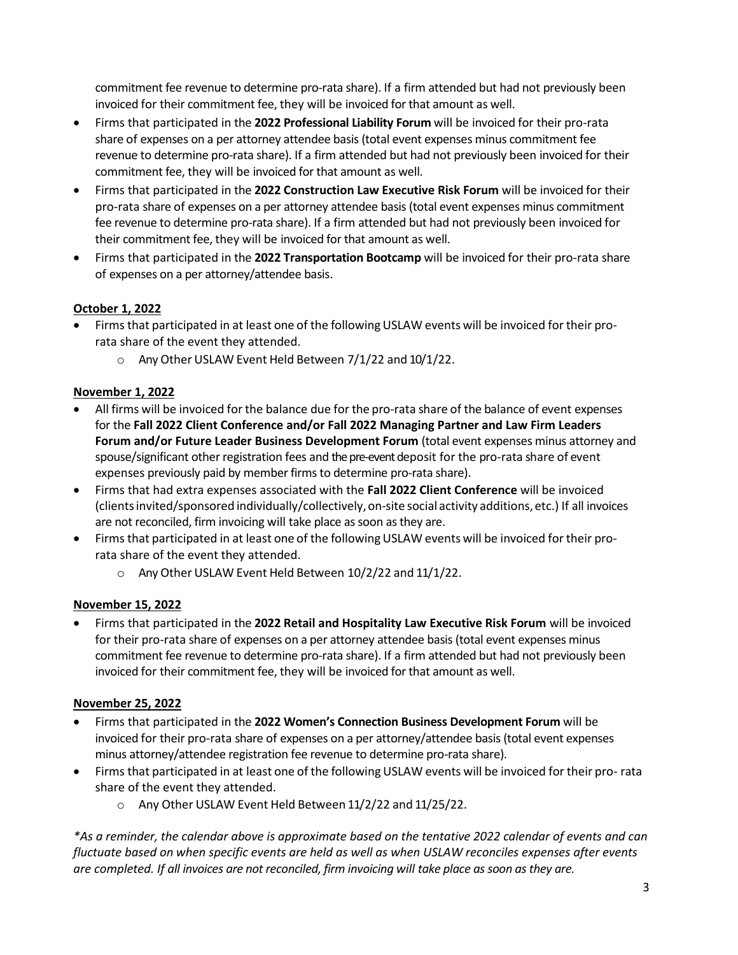commitment fee revenue to determine pro-rata share). If a firm attended but had not previously been invoiced for their commitment fee, they will be invoiced for that amount as well.

- Firms that participated in the **2022 Professional Liability Forum** will be invoiced for their pro-rata share of expenses on a per attorney attendee basis (total event expenses minus commitment fee revenue to determine pro-rata share). If a firm attended but had not previously been invoiced for their commitment fee, they will be invoiced for that amount as well.
- Firms that participated in the **2022 Construction Law Executive Risk Forum** will be invoiced for their pro-rata share of expenses on a per attorney attendee basis (total event expenses minus commitment fee revenue to determine pro-rata share). If a firm attended but had not previously been invoiced for their commitment fee, they will be invoiced for that amount as well.
- Firms that participated in the **2022 Transportation Bootcamp** will be invoiced for their pro-rata share of expenses on a per attorney/attendee basis.

## **October 1, 2022**

- Firms that participated in at least one of the following USLAW events will be invoiced for their prorata share of the event they attended.
	- o Any Other USLAW Event Held Between 7/1/22 and 10/1/22.

## **November 1, 2022**

- All firms will be invoiced for the balance due for the pro-rata share of the balance of event expenses for the **Fall 2022 Client Conference and/or Fall 2022 Managing Partner and Law Firm Leaders Forum and/or Future Leader Business Development Forum** (total event expenses minus attorney and spouse/significant other registration fees and the pre-eventdeposit for the pro-rata share of event expenses previously paid by member firms to determine pro-rata share).
- Firms that had extra expenses associated with the **Fall 2022 Client Conference** will be invoiced (clientsinvited/sponsored individually/collectively,on-site social activity additions,etc.) If all invoices are not reconciled, firm invoicing will take place as soon as they are.
- Firms that participated in at least one of the following USLAW events will be invoiced for their prorata share of the event they attended.
	- o Any Other USLAW Event Held Between 10/2/22 and 11/1/22.

# **November 15, 2022**

• Firms that participated in the **2022 Retail and Hospitality Law Executive Risk Forum** will be invoiced for their pro-rata share of expenses on a per attorney attendee basis (total event expenses minus commitment fee revenue to determine pro-rata share). If a firm attended but had not previously been invoiced for their commitment fee, they will be invoiced for that amount as well.

# **November 25, 2022**

- Firms that participated in the **2022 Women's Connection Business Development Forum** will be invoiced for their pro-rata share of expenses on a per attorney/attendee basis (total event expenses minus attorney/attendee registration fee revenue to determine pro-rata share).
- Firms that participated in at least one of the following USLAW events will be invoiced for their pro-rata share of the event they attended.
	- o Any Other USLAW Event Held Between 11/2/22 and 11/25/22.

*\*As a reminder, the calendar above is approximate based on the tentative 2022 calendar of events and can fluctuate based on when specific events are held as well as when USLAW reconciles expenses after events are completed. If all invoices are not reconciled, firm invoicing will take place as soon as they are.*